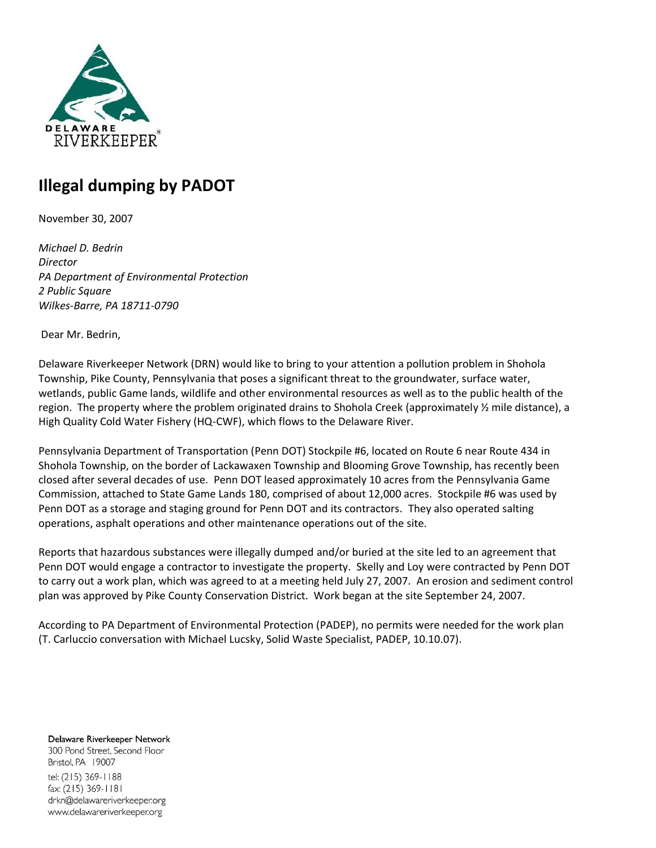

## **Illegal dumping by PADOT**

November 30, 2007

*Michael D. Bedrin Director PA Department of Environmental Protection 2 Public Square Wilkes-Barre, PA 18711-0790* 

Dear Mr. Bedrin,

Delaware Riverkeeper Network (DRN) would like to bring to your attention a pollution problem in Shohola Township, Pike County, Pennsylvania that poses a significant threat to the groundwater, surface water, wetlands, public Game lands, wildlife and other environmental resources as well as to the public health of the region. The property where the problem originated drains to Shohola Creek (approximately ½ mile distance), a High Quality Cold Water Fishery (HQ-CWF), which flows to the Delaware River.

Pennsylvania Department of Transportation (Penn DOT) Stockpile #6, located on Route 6 near Route 434 in Shohola Township, on the border of Lackawaxen Township and Blooming Grove Township, has recently been closed after several decades of use. Penn DOT leased approximately 10 acres from the Pennsylvania Game Commission, attached to State Game Lands 180, comprised of about 12,000 acres. Stockpile #6 was used by Penn DOT as a storage and staging ground for Penn DOT and its contractors. They also operated salting operations, asphalt operations and other maintenance operations out of the site.

Reports that hazardous substances were illegally dumped and/or buried at the site led to an agreement that Penn DOT would engage a contractor to investigate the property. Skelly and Loy were contracted by Penn DOT to carry out a work plan, which was agreed to at a meeting held July 27, 2007. An erosion and sediment control plan was approved by Pike County Conservation District. Work began at the site September 24, 2007.

According to PA Department of Environmental Protection (PADEP), no permits were needed for the work plan (T. Carluccio conversation with Michael Lucsky, Solid Waste Specialist, PADEP, 10.10.07).

Delaware Riverkeeper Network 300 Pond Street, Second Floor Bristol, PA 19007 tel: (215) 369-1188 fax: (215) 369-1181 drkn@delawareriverkeeper.org www.delawareriverkeeper.org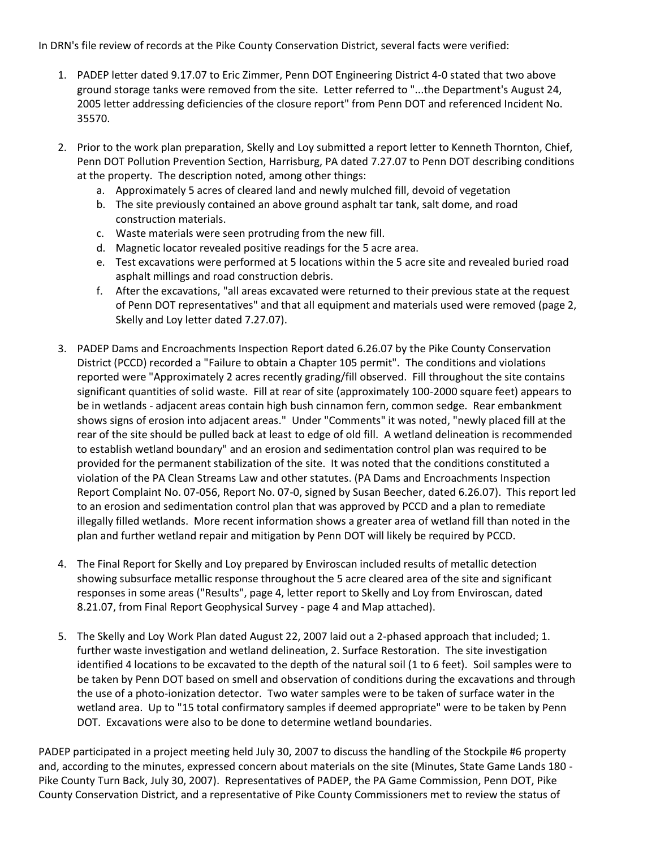In DRN's file review of records at the Pike County Conservation District, several facts were verified:

- 1. PADEP letter dated 9.17.07 to Eric Zimmer, Penn DOT Engineering District 4-0 stated that two above ground storage tanks were removed from the site. Letter referred to "...the Department's August 24, 2005 letter addressing deficiencies of the closure report" from Penn DOT and referenced Incident No. 35570.
- 2. Prior to the work plan preparation, Skelly and Loy submitted a report letter to Kenneth Thornton, Chief, Penn DOT Pollution Prevention Section, Harrisburg, PA dated 7.27.07 to Penn DOT describing conditions at the property. The description noted, among other things:
	- a. Approximately 5 acres of cleared land and newly mulched fill, devoid of vegetation
	- b. The site previously contained an above ground asphalt tar tank, salt dome, and road construction materials.
	- c. Waste materials were seen protruding from the new fill.
	- d. Magnetic locator revealed positive readings for the 5 acre area.
	- e. Test excavations were performed at 5 locations within the 5 acre site and revealed buried road asphalt millings and road construction debris.
	- f. After the excavations, "all areas excavated were returned to their previous state at the request of Penn DOT representatives" and that all equipment and materials used were removed (page 2, Skelly and Loy letter dated 7.27.07).
- 3. PADEP Dams and Encroachments Inspection Report dated 6.26.07 by the Pike County Conservation District (PCCD) recorded a "Failure to obtain a Chapter 105 permit". The conditions and violations reported were "Approximately 2 acres recently grading/fill observed. Fill throughout the site contains significant quantities of solid waste. Fill at rear of site (approximately 100-2000 square feet) appears to be in wetlands - adjacent areas contain high bush cinnamon fern, common sedge. Rear embankment shows signs of erosion into adjacent areas." Under "Comments" it was noted, "newly placed fill at the rear of the site should be pulled back at least to edge of old fill. A wetland delineation is recommended to establish wetland boundary" and an erosion and sedimentation control plan was required to be provided for the permanent stabilization of the site. It was noted that the conditions constituted a violation of the PA Clean Streams Law and other statutes. (PA Dams and Encroachments Inspection Report Complaint No. 07-056, Report No. 07-0, signed by Susan Beecher, dated 6.26.07). This report led to an erosion and sedimentation control plan that was approved by PCCD and a plan to remediate illegally filled wetlands. More recent information shows a greater area of wetland fill than noted in the plan and further wetland repair and mitigation by Penn DOT will likely be required by PCCD.
- 4. The Final Report for Skelly and Loy prepared by Enviroscan included results of metallic detection showing subsurface metallic response throughout the 5 acre cleared area of the site and significant responses in some areas ("Results", page 4, letter report to Skelly and Loy from Enviroscan, dated 8.21.07, from Final Report Geophysical Survey - page 4 and Map attached).
- 5. The Skelly and Loy Work Plan dated August 22, 2007 laid out a 2-phased approach that included; 1. further waste investigation and wetland delineation, 2. Surface Restoration. The site investigation identified 4 locations to be excavated to the depth of the natural soil (1 to 6 feet). Soil samples were to be taken by Penn DOT based on smell and observation of conditions during the excavations and through the use of a photo-ionization detector. Two water samples were to be taken of surface water in the wetland area. Up to "15 total confirmatory samples if deemed appropriate" were to be taken by Penn DOT. Excavations were also to be done to determine wetland boundaries.

PADEP participated in a project meeting held July 30, 2007 to discuss the handling of the Stockpile #6 property and, according to the minutes, expressed concern about materials on the site (Minutes, State Game Lands 180 - Pike County Turn Back, July 30, 2007). Representatives of PADEP, the PA Game Commission, Penn DOT, Pike County Conservation District, and a representative of Pike County Commissioners met to review the status of